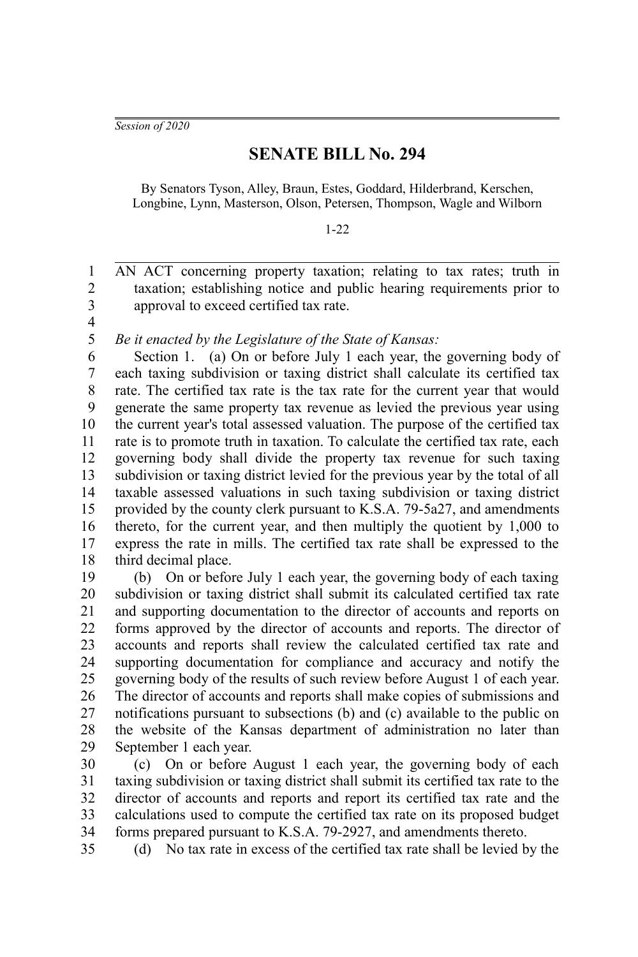*Session of 2020*

## **SENATE BILL No. 294**

By Senators Tyson, Alley, Braun, Estes, Goddard, Hilderbrand, Kerschen, Longbine, Lynn, Masterson, Olson, Petersen, Thompson, Wagle and Wilborn

## 1-22

AN ACT concerning property taxation; relating to tax rates; truth in taxation; establishing notice and public hearing requirements prior to approval to exceed certified tax rate. 1 2 3

4 5

*Be it enacted by the Legislature of the State of Kansas:*

Section 1. (a) On or before July 1 each year, the governing body of each taxing subdivision or taxing district shall calculate its certified tax rate. The certified tax rate is the tax rate for the current year that would generate the same property tax revenue as levied the previous year using the current year's total assessed valuation. The purpose of the certified tax rate is to promote truth in taxation. To calculate the certified tax rate, each governing body shall divide the property tax revenue for such taxing subdivision or taxing district levied for the previous year by the total of all taxable assessed valuations in such taxing subdivision or taxing district provided by the county clerk pursuant to K.S.A. 79-5a27, and amendments thereto, for the current year, and then multiply the quotient by 1,000 to express the rate in mills. The certified tax rate shall be expressed to the third decimal place. 6 7 8 9 10 11 12 13 14 15 16 17 18

(b) On or before July 1 each year, the governing body of each taxing subdivision or taxing district shall submit its calculated certified tax rate and supporting documentation to the director of accounts and reports on forms approved by the director of accounts and reports. The director of accounts and reports shall review the calculated certified tax rate and supporting documentation for compliance and accuracy and notify the governing body of the results of such review before August 1 of each year. The director of accounts and reports shall make copies of submissions and notifications pursuant to subsections (b) and (c) available to the public on the website of the Kansas department of administration no later than September 1 each year. 19 20 21 22 23 24 25 26 27 28 29

(c) On or before August 1 each year, the governing body of each taxing subdivision or taxing district shall submit its certified tax rate to the director of accounts and reports and report its certified tax rate and the calculations used to compute the certified tax rate on its proposed budget forms prepared pursuant to K.S.A. 79-2927, and amendments thereto. 30 31 32 33 34

35

(d) No tax rate in excess of the certified tax rate shall be levied by the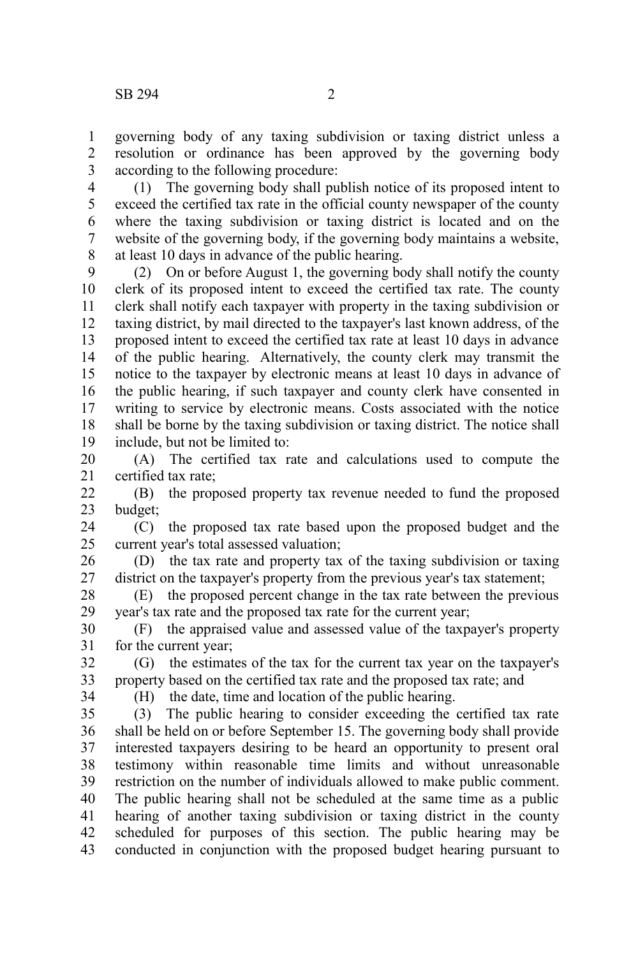governing body of any taxing subdivision or taxing district unless a resolution or ordinance has been approved by the governing body according to the following procedure: 1 2 3

(1) The governing body shall publish notice of its proposed intent to exceed the certified tax rate in the official county newspaper of the county where the taxing subdivision or taxing district is located and on the website of the governing body, if the governing body maintains a website, at least 10 days in advance of the public hearing. 4 5 6 7 8

(2) On or before August 1, the governing body shall notify the county clerk of its proposed intent to exceed the certified tax rate. The county clerk shall notify each taxpayer with property in the taxing subdivision or taxing district, by mail directed to the taxpayer's last known address, of the proposed intent to exceed the certified tax rate at least 10 days in advance of the public hearing. Alternatively, the county clerk may transmit the notice to the taxpayer by electronic means at least 10 days in advance of the public hearing, if such taxpayer and county clerk have consented in writing to service by electronic means. Costs associated with the notice shall be borne by the taxing subdivision or taxing district. The notice shall include, but not be limited to: 9 10 11 12 13 14 15 16 17 18 19

(A) The certified tax rate and calculations used to compute the certified tax rate; 20 21

(B) the proposed property tax revenue needed to fund the proposed budget; 22 23

(C) the proposed tax rate based upon the proposed budget and the current year's total assessed valuation; 24 25

(D) the tax rate and property tax of the taxing subdivision or taxing district on the taxpayer's property from the previous year's tax statement; 26 27

(E) the proposed percent change in the tax rate between the previous year's tax rate and the proposed tax rate for the current year; 28 29

(F) the appraised value and assessed value of the taxpayer's property for the current year; 30 31

(G) the estimates of the tax for the current tax year on the taxpayer's property based on the certified tax rate and the proposed tax rate; and 32 33

34

(H) the date, time and location of the public hearing.

(3) The public hearing to consider exceeding the certified tax rate shall be held on or before September 15. The governing body shall provide interested taxpayers desiring to be heard an opportunity to present oral testimony within reasonable time limits and without unreasonable restriction on the number of individuals allowed to make public comment. The public hearing shall not be scheduled at the same time as a public hearing of another taxing subdivision or taxing district in the county scheduled for purposes of this section. The public hearing may be conducted in conjunction with the proposed budget hearing pursuant to 35 36 37 38 39 40 41 42 43